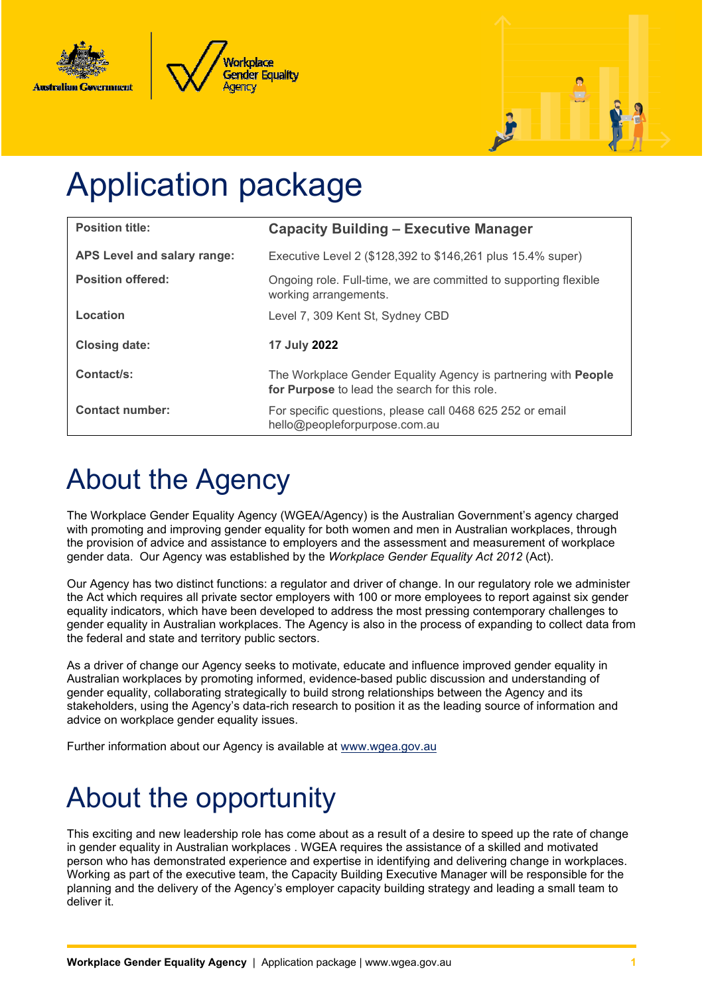





# Application package

| <b>Position title:</b>      | <b>Capacity Building - Executive Manager</b>                                                                           |
|-----------------------------|------------------------------------------------------------------------------------------------------------------------|
| APS Level and salary range: | Executive Level 2 (\$128,392 to \$146,261 plus 15.4% super)                                                            |
| <b>Position offered:</b>    | Ongoing role. Full-time, we are committed to supporting flexible<br>working arrangements.                              |
| Location                    | Level 7, 309 Kent St, Sydney CBD                                                                                       |
| <b>Closing date:</b>        | 17 July 2022                                                                                                           |
| Contact/s:                  | The Workplace Gender Equality Agency is partnering with <b>People</b><br>for Purpose to lead the search for this role. |
| <b>Contact number:</b>      | For specific questions, please call 0468 625 252 or email<br>hello@peopleforpurpose.com.au                             |

## About the Agency

The Workplace Gender Equality Agency (WGEA/Agency) is the Australian Government's agency charged with promoting and improving gender equality for both women and men in Australian workplaces, through the provision of advice and assistance to employers and the assessment and measurement of workplace gender data. Our Agency was established by the *Workplace Gender Equality Act 2012* (Act).

Our Agency has two distinct functions: a regulator and driver of change. In our regulatory role we administer the Act which requires all private sector employers with 100 or more employees to report against six gender equality indicators, which have been developed to address the most pressing contemporary challenges to gender equality in Australian workplaces. The Agency is also in the process of expanding to collect data from the federal and state and territory public sectors.

As a driver of change our Agency seeks to motivate, educate and influence improved gender equality in Australian workplaces by promoting informed, evidence-based public discussion and understanding of gender equality, collaborating strategically to build strong relationships between the Agency and its stakeholders, using the Agency's data-rich research to position it as the leading source of information and advice on workplace gender equality issues.

Further information about our Agency is available at [www.wgea.gov.au](http://www.wgea.gov.au/)

## About the opportunity

This exciting and new leadership role has come about as a result of a desire to speed up the rate of change in gender equality in Australian workplaces . WGEA requires the assistance of a skilled and motivated person who has demonstrated experience and expertise in identifying and delivering change in workplaces. Working as part of the executive team, the Capacity Building Executive Manager will be responsible for the planning and the delivery of the Agency's employer capacity building strategy and leading a small team to deliver it.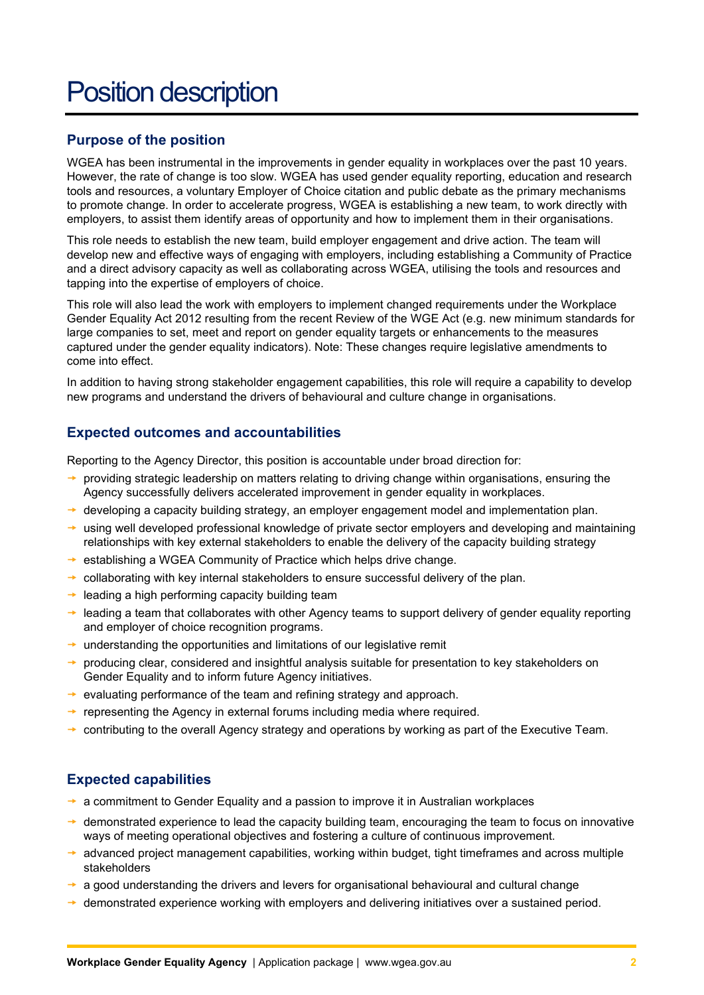## Position description

#### **Purpose of the position**

WGEA has been instrumental in the improvements in gender equality in workplaces over the past 10 years. However, the rate of change is too slow. WGEA has used gender equality reporting, education and research tools and resources, a voluntary Employer of Choice citation and public debate as the primary mechanisms to promote change. In order to accelerate progress, WGEA is establishing a new team, to work directly with employers, to assist them identify areas of opportunity and how to implement them in their organisations.

This role needs to establish the new team, build employer engagement and drive action. The team will develop new and effective ways of engaging with employers, including establishing a Community of Practice and a direct advisory capacity as well as collaborating across WGEA, utilising the tools and resources and tapping into the expertise of employers of choice.

This role will also lead the work with employers to implement changed requirements under the Workplace Gender Equality Act 2012 resulting from the recent Review of the WGE Act (e.g. new minimum standards for large companies to set, meet and report on gender equality targets or enhancements to the measures captured under the gender equality indicators). Note: These changes require legislative amendments to come into effect.

In addition to having strong stakeholder engagement capabilities, this role will require a capability to develop new programs and understand the drivers of behavioural and culture change in organisations.

#### **Expected outcomes and accountabilities**

Reporting to the Agency Director, this position is accountable under broad direction for:

- providing strategic leadership on matters relating to driving change within organisations, ensuring the Agency successfully delivers accelerated improvement in gender equality in workplaces.
- $\rightarrow$  developing a capacity building strategy, an employer engagement model and implementation plan.
- $\rightarrow$  using well developed professional knowledge of private sector employers and developing and maintaining relationships with key external stakeholders to enable the delivery of the capacity building strategy
- $\rightarrow$  establishing a WGEA Community of Practice which helps drive change.
- $\rightarrow$  collaborating with key internal stakeholders to ensure successful delivery of the plan.
- $\rightarrow$  leading a high performing capacity building team
- $\rightarrow$  leading a team that collaborates with other Agency teams to support delivery of gender equality reporting and employer of choice recognition programs.
- $\rightarrow$  understanding the opportunities and limitations of our legislative remit
- producing clear, considered and insightful analysis suitable for presentation to key stakeholders on Gender Equality and to inform future Agency initiatives.
- $\rightarrow$  evaluating performance of the team and refining strategy and approach.
- $\rightarrow$  representing the Agency in external forums including media where required.
- $\rightarrow$  contributing to the overall Agency strategy and operations by working as part of the Executive Team.

#### **Expected capabilities**

- $\rightarrow$  a commitment to Gender Equality and a passion to improve it in Australian workplaces
- $\rightarrow$  demonstrated experience to lead the capacity building team, encouraging the team to focus on innovative ways of meeting operational objectives and fostering a culture of continuous improvement.
- $\rightarrow$  advanced project management capabilities, working within budget, tight timeframes and across multiple stakeholders
- $\rightarrow$  a good understanding the drivers and levers for organisational behavioural and cultural change
- $\rightarrow$  demonstrated experience working with employers and delivering initiatives over a sustained period.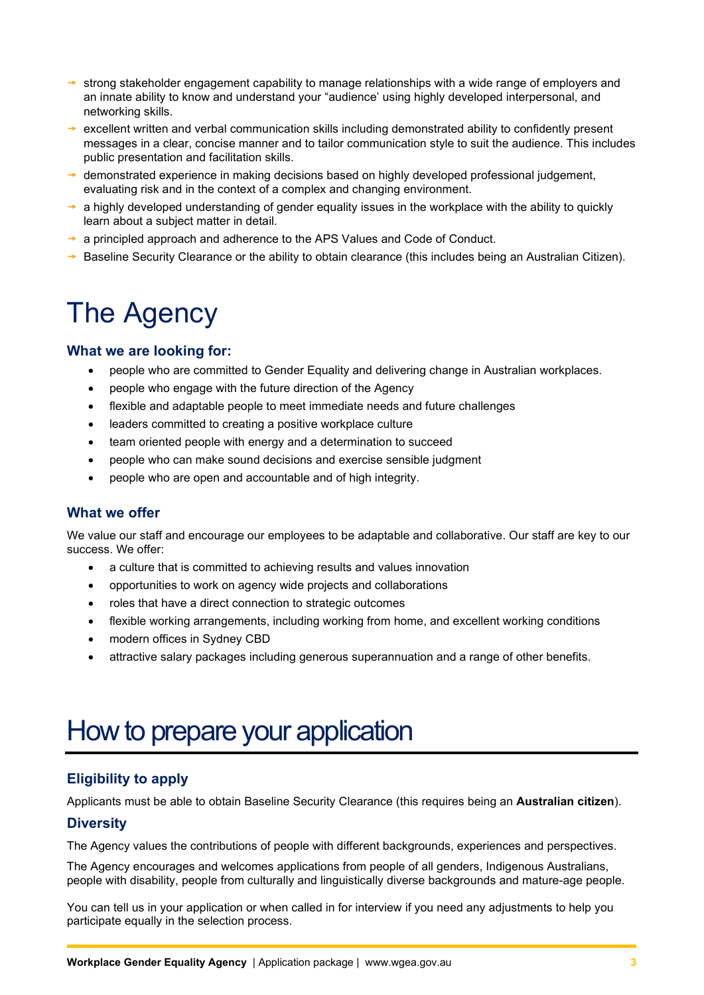- $\rightarrow$  strong stakeholder engagement capability to manage relationships with a wide range of employers and an innate ability to know and understand your "audience' using highly developed interpersonal, and networking skills.
- $\rightarrow$  excellent written and verbal communication skills including demonstrated ability to confidently present messages in a clear, concise manner and to tailor communication style to suit the audience. This includes public presentation and facilitation skills.
- $\rightarrow$  demonstrated experience in making decisions based on highly developed professional judgement, evaluating risk and in the context of a complex and changing environment.
- $\rightarrow$  a highly developed understanding of gender equality issues in the workplace with the ability to quickly learn about a subject matter in detail.
- $\rightarrow$  a principled approach and adherence to the APS Values and Code of Conduct.
- Baseline Security Clearance or the ability to obtain clearance (this includes being an Australian Citizen).

## The Agency

#### **What we are looking for:**

- people who are committed to Gender Equality and delivering change in Australian workplaces.
- people who engage with the future direction of the Agency
- flexible and adaptable people to meet immediate needs and future challenges
- leaders committed to creating a positive workplace culture
- team oriented people with energy and a determination to succeed
- people who can make sound decisions and exercise sensible judgment
- people who are open and accountable and of high integrity.

#### **What we offer**

We value our staff and encourage our employees to be adaptable and collaborative. Our staff are key to our success. We offer:

- a culture that is committed to achieving results and values innovation
- opportunities to work on agency wide projects and collaborations
- roles that have a direct connection to strategic outcomes
- flexible working arrangements, including working from home, and excellent working conditions
- modern offices in Sydney CBD
- attractive salary packages including generous superannuation and a range of other benefits.

### How to prepare your application

#### **Eligibility to apply**

Applicants must be able to obtain Baseline Security Clearance (this requires being an **Australian citizen**).

#### **Diversity**

The Agency values the contributions of people with different backgrounds, experiences and perspectives.

The Agency encourages and welcomes applications from people of all genders, Indigenous Australians, people with disability, people from culturally and linguistically diverse backgrounds and mature-age people.

You can tell us in your application or when called in for interview if you need any adjustments to help you participate equally in the selection process.